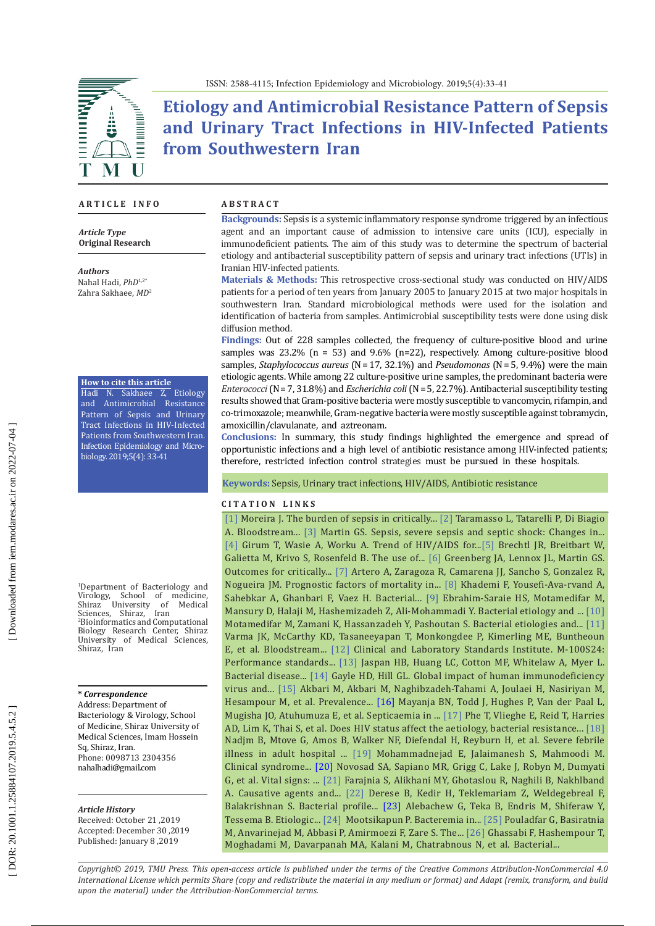# **Etiology and Antimicrobial Resistance Pattern of Sepsis and Urinary Tract Infections in HIV-Infected Patients from Southwestern Iran**

#### **A R T I C L E I N F O**

*Article Type* **Original Research**

*Authors* Nahal Hadi, *PhD*1,2\* Zahra Sakhaee, *MD* 2

#### **How to cite this article**

Hadi N. Sakhaee Z, Etiology and Antimicrobial Resistance Pattern of Sepsis and Urinary Tract Infections in HIV-Infected Patients from Southwestern Iran. Infection Epidemiology and Micro biology. 2019;5(4): 33-41

1 Department of Bacteriology and Virology, School of medicine, Shiraz University of Medical Sciences, Shiraz, Iran<br><sup>2</sup>Bioinformatics.and.Com Bioinformatics and Computational Biology Research Center, Shiraz University of Medical Sciences, Shiraz, Iran

#### **\*** *Correspondence*

Address: Department of Bacteriology & Virology, School of Medicine, Shiraz University of Medical Sciences, Imam Hossein Sq, Shiraz, Iran . Phone: 0098713 2304356 nahalhadi@gmail.com

#### *Article History*

Received: October 21 ,2019 Accepted: December 30 ,2019 Published: January 8 ,2019

#### **A B S T R A C T**

**Backgrounds:** Sepsis is a systemic inflammatory response syndrome triggered by an infectious agent and an important cause of admission to intensive care units (ICU), especially in immunodeficient patients. The aim of this study was to determine the spectrum of bacterial etiology and antibacterial susceptibility pattern of sepsis and urinary tract infections (UTIs) in Iranian HIV-infected patients.

**Materials & Methods:** This retrospective cross-sectional study was conducted on HIV/AIDS patients for a period of ten years from January 2005 to January 2015 at two major hospitals in southwestern Iran. Standard microbiological methods were used for the isolation and identification of bacteria from samples. Antimicrobial susceptibility tests were done using disk diffusion method.

**Findings:** Out of 228 samples collected, the frequency of culture-positive blood and urine samples was 23.2% (n = 53) and 9.6% (n=22), respectively. Among culture-positive blood samples, *Staphylococcus aureus* (N = 17, 32.1%) and *Pseudomonas* (N = 5, 9.4%) were the main etiologic agents. While among 22 culture-positive urine samples, the predominant bacteria were *Enterococci* (N = 7, 31.8%) and *Escherichia coli* (N = 5, 22.7%). Antibacterial susceptibility testing results showed that Gram-positive bacteria were mostly susceptible to vancomycin, rifampin, and co-trimoxazole; meanwhile, Gram-negative bacteria were mostly susceptible against tobramycin, amoxicillin/clavulanate, and aztreonam.

**Conclusions:** In summary, this study findings highlighted the emergence and spread of opportunistic infections and a high level of antibiotic resistance among HIV-infected patients; therefore, restricted infection control strategies must be pursued in these hospitals.

**Keywords:** Sepsis, Urinary tract infections, HIV/AIDS, Antibiotic resistance

#### **C I T A T I O N L I N K S**

 $\lfloor 1 \rfloor$  $\lfloor 1 \rfloor$  $\lfloor 1 \rfloor$  Moreira J. The burden of sepsis in critically...  $\lfloor 2 \rfloor$  $\lfloor 2 \rfloor$  $\lfloor 2 \rfloor$  Taramasso L, Tatarelli P, Di Biagio A. Bloodstream... [[3](https://www.ncbi.nlm.nih.gov/pubmed/22734959)] Martin GS. Sepsis, severe sepsis and septic shock: Changes in... [ [4](https://www.ncbi.nlm.nih.gov/pmc/articles/PMC6042262/) ] Girum T, Wasie A, Worku A. Trend of HIV/AIDS for... [ [5](https://www.ncbi.nlm.nih.gov/pubmed/11223313) ] Brechtl JR, Breitbart W, Galietta M, Krivo S, Rosenfeld B. The use of... [\[](https://www.ncbi.nlm.nih.gov/pubmed/22033058) 6 ] Greenberg JA, Lennox JL, Martin GS. Outcomes for critically... [[7](https://www.ncbi.nlm.nih.gov/pubmed/20149587)] Artero A, Zaragoza R, Camarena JJ, Sancho S, Gonzalez R, Nogueira JM. Prognostic factors of mortality in... [ [8](https://www.ncbi.nlm.nih.gov/pubmed/30355845) ] Khademi F, Yousefi-Ava-rvand A, Sahebkar A, Ghanbari F, Vaez H. Bacterial... [ [9](http://comprped.com/en/articles/19829.html) ] Ebrahim-Saraie HS, Motamedifar M, Mansury D, Halaji M, Hashemizadeh Z, Ali-Mohammadi Y. Bacterial etiology and ... [\[10](http://archcid.com/en/articles/20978.html) ] Motamedifar M, Zamani K, Hassanzadeh Y, Pashoutan S. Bacterial etiologies and... [\[11](https://www.ncbi.nlm.nih.gov/pmc/articles/PMC3294385/) ] Varma JK, McCarthy KD, Tasaneeyapan T, Monkongdee P, Kimerling ME, Buntheoun E, et al. Bloodstream... [\[12](https://www.academia.edu/25600446/M100-S24_Performance_Standards_for_Antimicrobial_Susceptibility_Testing_Twenty-Fourth_Informational_Supplement_An_informational_supplement_for_global_application_developed_through_the_Clinical_and_Laboratory_Standards_Ins\
titute_consensus_process) ] Clinical and Laboratory Standards Institute. M -100 S24: Performance standards..[. \[13](https://www.ncbi.nlm.nih.gov/pubmed/18813340) ] Jaspan HB, Huang LC, Cotton MF, Whitelaw A, Myer L. Bacterial disease... [\[14](https://www.ncbi.nlm.nih.gov/pubmed/11292641)] Gayle HD, Hill GL. Global impact of human immunodeficiency virus and... [\[15](https://www.ncbi.nlm.nih.gov/pmc/articles/PMC5422016/) ] Akbari M, Akbari M, Naghibzadeh-Tahami A, Joulaei H, Nasiriyan M, Hesampour M, et al. Prevalence... [\[16](https://www.ncbi.nlm.nih.gov/pubmed/20406428) ] Mayanja BN, Todd J, Hughes P, Van der Paal L, Mugisha JO, Atuhumuza E, et al. Septicaemia in ... [\[17](https://www.ncbi.nlm.nih.gov/pubmed/23294446) ] Phe T, Vlieghe E, Reid T, Harries AD, Lim K, Thai S, et al. Does HIV status affect the aetiology, bacterial resistance... [\[18](https://www.ncbi.nlm.nih.gov/pubmed/23022040) ] Nadjm B, Mtove G, Amos B, Walker NF, Diefendal H, Reyburn H, et al. Severe febrile illness in adult hospital ... [\[19](https://www.researchgate.net/publication/45825528_Clinical_syndrome_in_HIVAIDS_resulting_in_hospitalization_based_on_the_CD4_count) ] Mohammadnejad E, Jalaimanesh S, Mahmoodi M. Clinical syndrome... [\[20](https://www.ncbi.nlm.nih.gov/pubmed/27559759) ] Novosad SA, Sapiano MR, Grigg C, Lake J, Robyn M, Dumyati G, et al. Vital signs: ... [\[21](https://www.ncbi.nlm.nih.gov/pubmed/18703368) ] Farajnia S, Alikhani MY, Ghotaslou R, Naghili B, Nakhlband A. Causative agents and... [\[22\] D](https://www.ncbi.nlm.nih.gov/pubmed/26937197)erese B, Kedir H, Teklemariam Z, Weldegebreal F, Balakrishnan S. Bacterial profile... [\[23](https://www.ncbi.nlm.nih.gov/pubmed/27314025)] Alebachew G, Teka B, Endris M, Shiferaw Y, Tessema B. Etiologic... [\[24](https://www.ncbi.nlm.nih.gov/pubmed/16815065) ] Mootsikapun P. Bacteremia in... [\[25](https://www.ncbi.nlm.nih.gov/pubmed/28906365) ] Pouladfar G, Basiratnia M, Anvarinejad M, Abbasi P, Amirmoezi F, Zare S. The... [\[26](https://www.ncbi.nlm.nih.gov/pubmed/28980931) ] Ghassabi F, Hashempour T, Moghadami M, Davarpanah MA, Kalani M, Chatrabnous N, et al. Bacterial...

*Copyright© 2019, TMU Press. This open-access article is published under the terms of the Creative Commons Attribution-NonCommercial 4.0 International License which permits Share (copy and redistribute the material in any medium or format) and Adapt (remix, transform, and build upon the material) under the Attribution-NonCommercial terms.*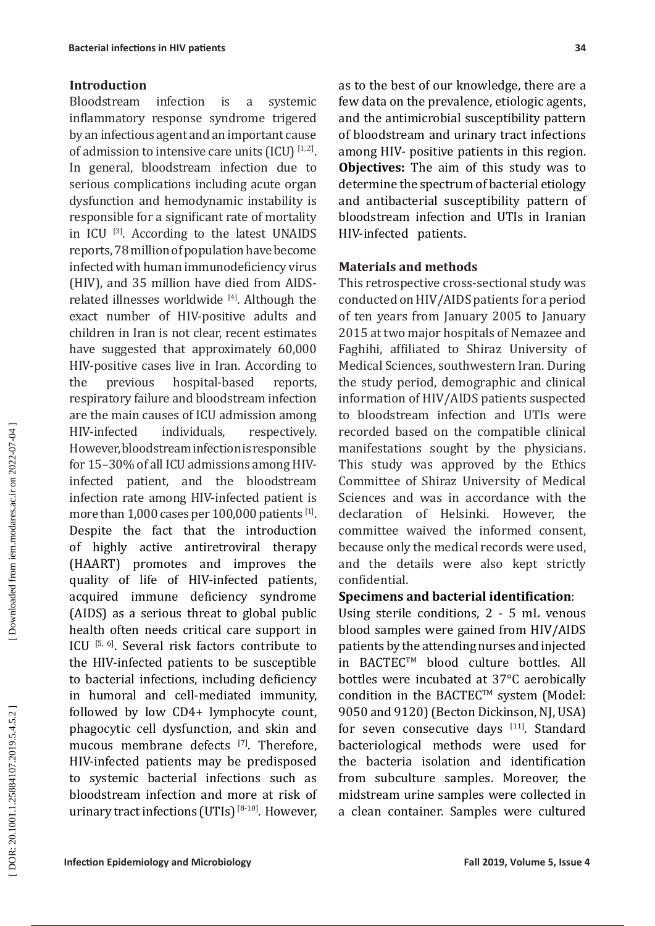### **Introduction**

Bloodstream infection is a systemic inflammatory response syndrome trigered by an infectious agent and an important cause of admission to intensive care units  $(ICU)^{[1, 2]}$ . In general, bloodstream infection due to serious complications including acute organ dysfunction and hemodynamic instability is responsible for a significant rate of mortality in ICU [3]. According to the latest UNAIDS reports, 78 million of population have become infected with human immunodeficiency virus (HIV), and 35 million have died from AIDSrelated illnesses worldwide [4]. Although the exact number of HIV-positive adults and children in Iran is not clear, recent estimates have suggested that approximately 60,000 HIV-positive cases live in Iran. According to the previous hospital-based reports, [respiratory failure](https://www.sciencedirect.com/topics/medicine-and-dentistry/respiratory-failure) and bloodstream infection are the main causes of ICU admission among HIV-infected individuals, respectively. However, bloodstream infectionis responsible for 15–30% of all ICU admissions among HIVinfected patient, and the bloodstream infection rate among HIV-infected patient is more than  $1,000$  cases per  $100,000$  patients  $^{[1]}$ . Despite the fact that the introduction of highly active antiretroviral therapy (HAART) promotes and improves the quality of life of HIV-infected patients, acquired immune deficiency syndrome (AIDS) as a serious threat to global public health often needs critical care support in ICU [5, 6]. Several risk factors contribute to the HIV-infected patients to be susceptible to bacterial infections, including deficiency in humoral and cell-mediated immunity, followed by low CD4+ lymphocyte count, phagocytic cell dysfunction, and skin and mucous membrane defects [7]. Therefore, HIV-infected patients may be predisposed to systemic bacterial infections such as bloodstream infection and more at risk of urinary tract infections (UTIs)  $[8-10]$ . However,

as to the best of our knowledge, there are a few data on the prevalence, etiologic agents, and the antimicrobial susceptibility pattern of bloodstream and urinary tract infections among HIV- positive patients in this region. **Objectives:** The aim of this study was to determine the spectrum of bacterial etiology and antibacterial susceptibility pattern of bloodstream infection and UTIs in Iranian HIV-infected patients.

### **Materials and methods**

This retrospective cross-sectional study was conducted on HIV/AIDS patients for a period of ten years from January 2005 to January 2015 at two major hospitals of Nemazee and Faghihi, affiliated to Shiraz University of Medical Sciences, southwestern Iran. During the study period, demographic and clinical information of HIV/AIDS patients suspected to bloodstream infection and UTIs were recorded based on the compatible clinical manifestations sought by the physicians. This study was approved by the Ethics Committee of Shiraz University of Medical Sciences and was in accordance with the declaration of Helsinki. However, the committee waived the informed consent, because only the medical records were used, and the details were also kept strictly confidential.

### **Specimens and bacterial identification**:

Using sterile conditions, 2 - 5 mL venous blood samples were gained from HIV/AIDS patients by the attending nurses and injected in BACTEC™ blood culture bottles. All bottles were incubated at 37°C aerobically condition in the BACTEC™ system (Model: 9050 and 9120) (Becton Dickinson, NJ, USA) for seven consecutive days [11]. Standard bacteriological methods were used for the bacteria isolation and identification from subculture samples. Moreover, the midstream urine samples were collected in a clean container. Samples were cultured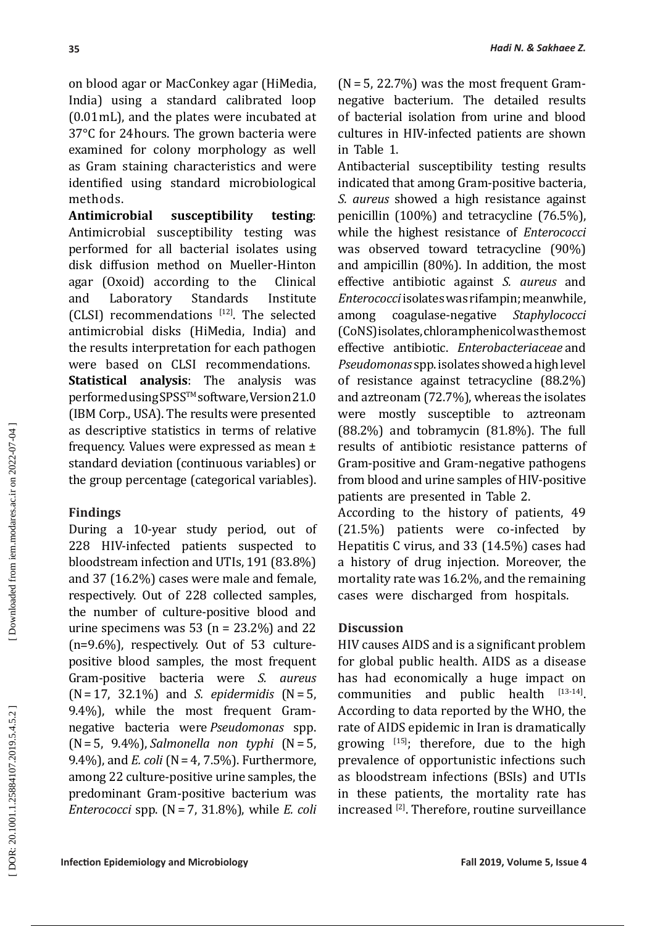on blood agar or MacConkey agar (HiMedia, India) using a standard calibrated loop (0.01 mL), and the plates were incubated at 37°C for 24 hours. The grown bacteria were examined for colony morphology as well as Gram staining characteristics and were identified using standard microbiological methods.

**Antimicrobial susceptibility testing**: Antimicrobial susceptibility testing was performed for all bacterial isolates using disk diffusion method on Mueller-Hinton<br>agar (Oxoid) according to the Clinical agar (Oxoid) according to the<br>and Laboratory Standards and Laboratory Standards Institute (CLSI) recommendations  $[12]$ . The selected antimicrobial disks (HiMedia, India) and the results interpretation for each pathogen were based on CLSI recommendations. **Statistical analysis**: The analysis was performed using SPSS™ software, Version 21.0 (IBM Corp., USA). The results were presented as descriptive statistics in terms of relative frequency. Values were expressed as mean ± standard deviation (continuous variables) or the group percentage (categorical variables).

# **Findings**

During a 10-year study period, out of 228 HIV-infected patients suspected to bloodstream infection and UTIs, 191 (83.8%) and 37 (16.2%) cases were male and female, respectively. Out of 228 collected samples, the number of culture-positive blood and urine specimens was 53 ( $n = 23.2\%$ ) and 22 (n=9.6%), respectively. Out of 53 culturepositive blood samples, the most frequent Gram-positive bacteria were *S. aureus* (N = 17, 32.1%) and *S. epidermidis* (N = 5, 9.4%), while the most frequent Gramnegative bacteria were *Pseudomonas* spp. (N = 5, 9.4%), *Salmonella non typhi* (N = 5, 9.4%), and *E. coli* (N = 4, 7.5%). Furthermore, among 22 culture-positive urine samples, the predominant Gram-positive bacterium was *Enterococci* spp. (N = 7, 31.8%), while *E. coli*

 $(N=5, 22.7%)$  was the most frequent Gramnegative bacterium. The detailed results of bacterial isolation from urine and blood cultures in HIV-infected patients are shown in Table 1.

Antibacterial susceptibility testing results indicated that among Gram-positive bacteria, *S. aureus* showed a high resistance against penicillin (100%) and tetracycline (76.5%), while the highest resistance of *Enterococci* was observed toward tetracycline (90%) and ampicillin (80%). In addition, the most effective antibiotic against *S. aureus* and *Enterococci* isolates was rifampin; meanwhile, among coagulase-negative *Staphylococci* (CoNS) isolates, chloramphenicol was the most effective antibiotic. *Enterobacteriaceae* and *Pseudomonas* spp.isolates showed a high level of resistance against tetracycline (88.2%) and aztreonam (72.7%), whereas the isolates were mostly susceptible to aztreonam (88.2%) and tobramycin (81.8%). The full results of antibiotic resistance patterns of Gram-positive and Gram-negative pathogens from blood and urine samples of HIV-positive patients are presented in Table 2.

According to the history of patients, 49 (21.5%) patients were co-infected by Hepatitis C virus, and 33 (14.5%) cases had a history of drug injection. Moreover, the mortality rate was 16.2%, and the remaining cases were discharged from hospitals.

# **Discussion**

HIV causes AIDS and is a significant problem for global public health . AIDS as a disease has had economically a huge impact on<br>communities and public health  $[13\cdot14]$ communities and public health According to data reported by the WHO, the rate of AIDS epidemic in Iran is dramatically growing  $[15]$ ; therefore, due to the high prevalence of opportunistic infections such as bloodstream infections (BSIs) and UTIs in these patients, the mortality rate has increased [2]. Therefore, routine surveillance

**35**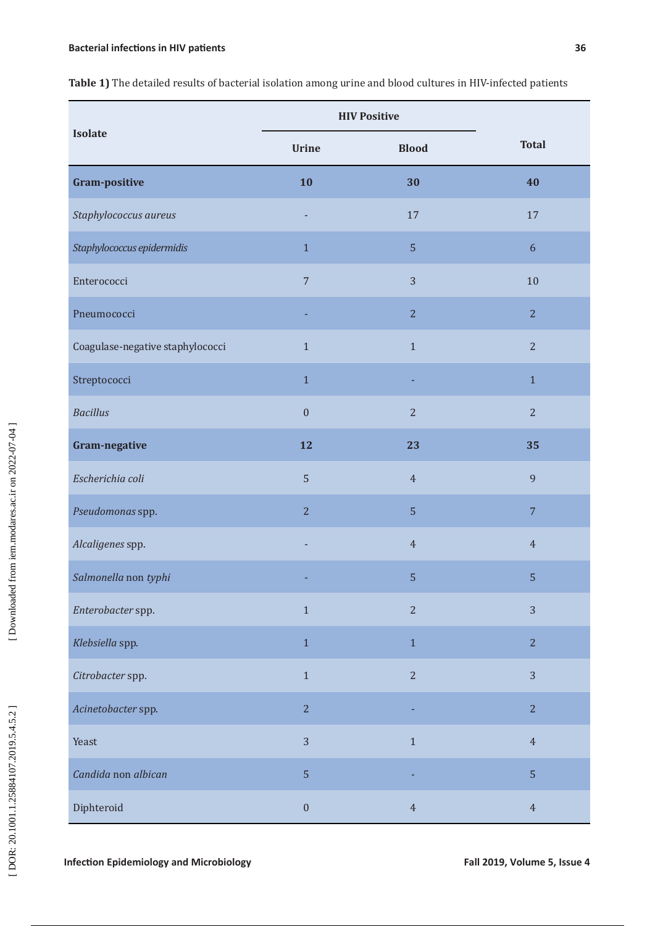**Table 1)** The detailed results of bacterial isolation among urine and blood cultures in HIV-infected patients

| <b>Isolate</b>                   | <b>HIV Positive</b> |                |                  |  |
|----------------------------------|---------------------|----------------|------------------|--|
|                                  | <b>Urine</b>        | <b>Blood</b>   | <b>Total</b>     |  |
| <b>Gram-positive</b>             | 10                  | 30             | 40               |  |
| Staphylococcus aureus            |                     | 17             | 17               |  |
| Staphylococcus epidermidis       | $\mathbf{1}$        | $\sqrt{5}$     | $\boldsymbol{6}$ |  |
| Enterococci                      | $\overline{7}$      | 3              | 10               |  |
| Pneumococci                      |                     | $\overline{2}$ | $\overline{2}$   |  |
| Coagulase-negative staphylococci | $1\,$               | $\mathbf{1}$   | $\overline{2}$   |  |
| Streptococci                     | $1\,$               |                | $1\,$            |  |
| <b>Bacillus</b>                  | $\boldsymbol{0}$    | $\overline{2}$ | $\overline{2}$   |  |
| Gram-negative                    | 12                  | 23             | 35               |  |
| Escherichia coli                 | 5                   | $\overline{4}$ | 9                |  |
| Pseudomonas spp.                 | $\overline{2}$      | $\sqrt{5}$     | $7\phantom{.}$   |  |
| Alcaligenes spp.                 |                     | $\overline{4}$ | $\overline{4}$   |  |
| Salmonella non typhi             |                     | 5              | 5                |  |
| Enterobacter spp.                | $1\,$               | $\overline{2}$ | 3                |  |
| Klebsiella spp.                  | $1\,$               | $1\,$          | $\overline{2}$   |  |
| Citrobacter spp.                 | $1\,$               | $\overline{2}$ | 3                |  |
| Acinetobacter spp.               | $\overline{2}$      |                | $\overline{2}$   |  |
| Yeast                            | 3                   | $1\,$          | $\overline{4}$   |  |
| Candida non albican              | $\sqrt{5}$          |                | $\sqrt{5}$       |  |
| Diphteroid                       | $\boldsymbol{0}$    | $\sqrt{4}$     | $\sqrt{4}$       |  |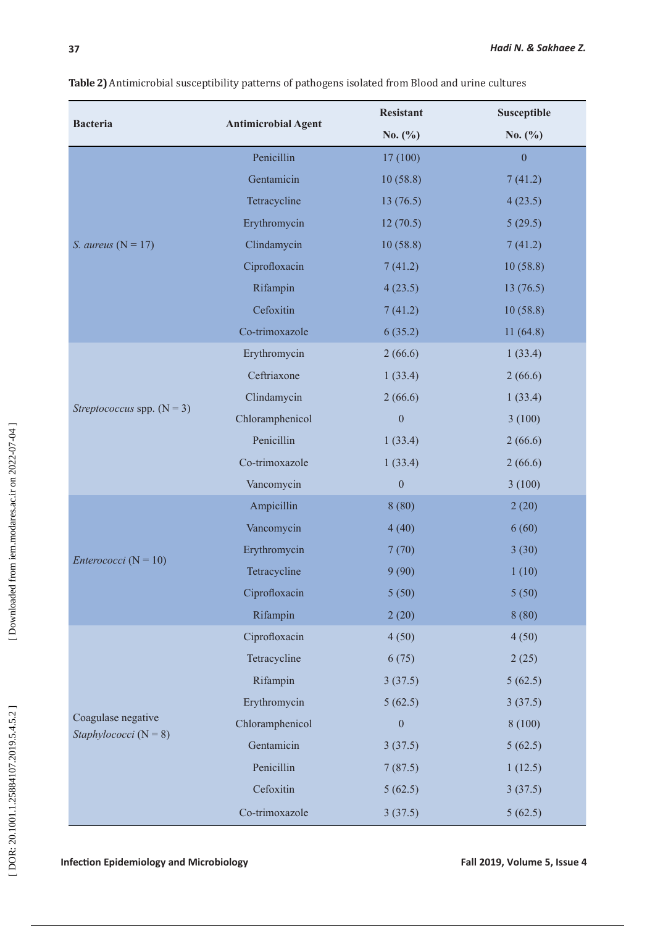| <b>Bacteria</b>                                 | <b>Antimicrobial Agent</b> | <b>Resistant</b> | Susceptible      |
|-------------------------------------------------|----------------------------|------------------|------------------|
|                                                 |                            | No. $(\% )$      | No. $(\%)$       |
| S. aureus $(N = 17)$                            | Penicillin                 | 17(100)          | $\boldsymbol{0}$ |
|                                                 | Gentamicin                 | 10(58.8)         | 7(41.2)          |
|                                                 | Tetracycline               | 13(76.5)         | 4(23.5)          |
|                                                 | Erythromycin               | 12(70.5)         | 5(29.5)          |
|                                                 | Clindamycin                | 10(58.8)         | 7(41.2)          |
|                                                 | Ciprofloxacin              | 7(41.2)          | 10(58.8)         |
|                                                 | Rifampin                   | 4(23.5)          | 13(76.5)         |
|                                                 | Cefoxitin                  | 7(41.2)          | 10(58.8)         |
|                                                 | Co-trimoxazole             | 6(35.2)          | 11(64.8)         |
| Streptococcus spp. $(N = 3)$                    | Erythromycin               | 2(66.6)          | 1(33.4)          |
|                                                 | Ceftriaxone                | 1(33.4)          | 2(66.6)          |
|                                                 | Clindamycin                | 2(66.6)          | 1(33.4)          |
|                                                 | Chloramphenicol            | $\boldsymbol{0}$ | 3(100)           |
|                                                 | Penicillin                 | 1(33.4)          | 2(66.6)          |
|                                                 | Co-trimoxazole             | 1(33.4)          | 2(66.6)          |
|                                                 | Vancomycin                 | $\boldsymbol{0}$ | 3(100)           |
| <i>Enterococci</i> ( $N = 10$ )                 | Ampicillin                 | 8(80)            | 2(20)            |
|                                                 | Vancomycin                 | 4(40)            | 6(60)            |
|                                                 | Erythromycin               | 7(70)            | 3(30)            |
|                                                 | Tetracycline               | 9(90)            | 1(10)            |
|                                                 | Ciprofloxacin              | 5(50)            | 5(50)            |
|                                                 | Rifampin                   | 2(20)            | 8(80)            |
|                                                 | Ciprofloxacin              | 4(50)            | 4(50)            |
|                                                 | Tetracycline               | 6(75)            | 2(25)            |
|                                                 | Rifampin                   | 3(37.5)          | 5(62.5)          |
|                                                 | Erythromycin               | 5(62.5)          | 3(37.5)          |
| Coagulase negative<br>Staphylococci ( $N = 8$ ) | Chloramphenicol            | $\boldsymbol{0}$ | 8(100)           |
|                                                 | Gentamicin                 | 3(37.5)          | 5(62.5)          |
|                                                 | Penicillin                 | 7(87.5)          | 1(12.5)          |
|                                                 | Cefoxitin                  | 5(62.5)          | 3(37.5)          |
|                                                 | Co-trimoxazole             | 3(37.5)          | 5(62.5)          |

**37**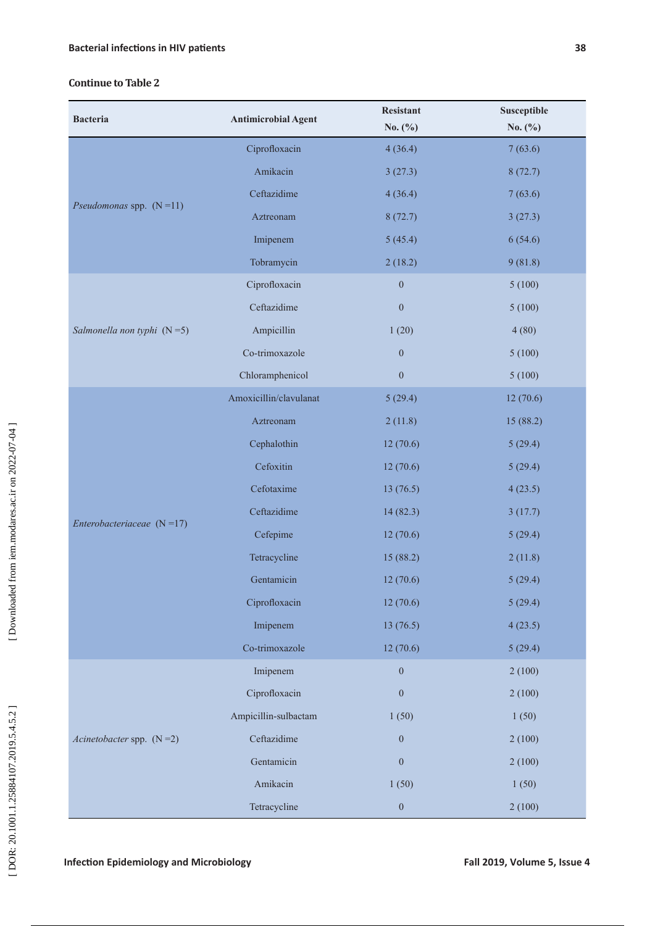### **Continue to Table 2**

| <b>Bacteria</b>              | <b>Antimicrobial Agent</b> | <b>Resistant</b><br>No. $(\% )$ | Susceptible<br>No. $(\% )$ |
|------------------------------|----------------------------|---------------------------------|----------------------------|
| Pseudomonas spp. $(N=11)$    | Ciprofloxacin              | 4(36.4)                         | 7(63.6)                    |
|                              | Amikacin                   | 3(27.3)                         | 8(72.7)                    |
|                              | Ceftazidime                | 4(36.4)                         | 7(63.6)                    |
|                              | Aztreonam                  | 8(72.7)                         | 3(27.3)                    |
|                              | Imipenem                   | 5(45.4)                         | 6(54.6)                    |
|                              | Tobramycin                 | 2(18.2)                         | 9(81.8)                    |
| Salmonella non typhi $(N=5)$ | Ciprofloxacin              | $\boldsymbol{0}$                | 5(100)                     |
|                              | Ceftazidime                | $\boldsymbol{0}$                | 5(100)                     |
|                              | Ampicillin                 | 1(20)                           | 4(80)                      |
|                              | Co-trimoxazole             | $\boldsymbol{0}$                | 5(100)                     |
|                              | Chloramphenicol            | $\boldsymbol{0}$                | 5(100)                     |
|                              | Amoxicillin/clavulanat     | 5(29.4)                         | 12(70.6)                   |
|                              | Aztreonam                  | 2(11.8)                         | 15 (88.2)                  |
| Enterobacteriaceae $(N=17)$  | Cephalothin                | 12(70.6)                        | 5(29.4)                    |
|                              | Cefoxitin                  | 12(70.6)                        | 5(29.4)                    |
|                              | Cefotaxime                 | 13(76.5)                        | 4(23.5)                    |
|                              | Ceftazidime                | 14(82.3)                        | 3(17.7)                    |
|                              | Cefepime                   | 12(70.6)                        | 5(29.4)                    |
|                              | Tetracycline               | 15 (88.2)                       | 2(11.8)                    |
|                              | Gentamicin                 | 12(70.6)                        | 5(29.4)                    |
|                              | Ciprofloxacin              | 12(70.6)                        | 5(29.4)                    |
|                              | Imipenem                   | 13(76.5)                        | 4(23.5)                    |
|                              | Co-trimoxazole             | 12(70.6)                        | 5(29.4)                    |
| Acinetobacter spp. $(N=2)$   | Imipenem                   | $\boldsymbol{0}$                | 2(100)                     |
|                              | Ciprofloxacin              | $\boldsymbol{0}$                | 2(100)                     |
|                              | Ampicillin-sulbactam       | 1(50)                           | 1(50)                      |
|                              | Ceftazidime                | $\boldsymbol{0}$                | 2(100)                     |
|                              | Gentamicin                 | $\boldsymbol{0}$                | 2(100)                     |
|                              | Amikacin                   | 1(50)                           | 1(50)                      |
|                              | Tetracycline               | $\boldsymbol{0}$                | 2(100)                     |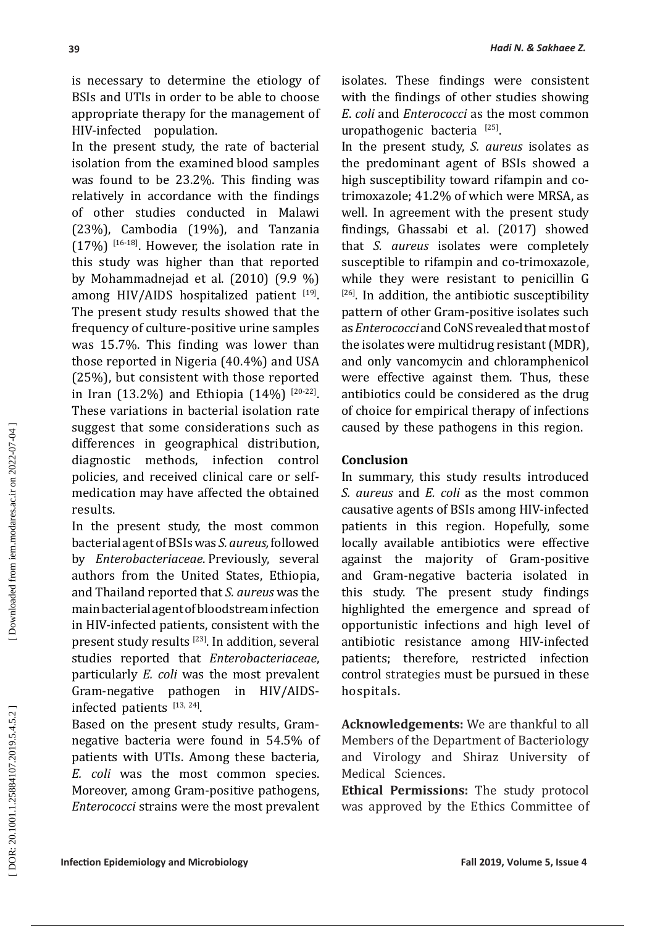is necessary to determine the etiology of BSIs and UTIs in order to be able to choose appropriate therapy for the management of HIV-infected population.

In the present study, the rate of bacterial isolation from the examined blood samples was found to be 23.2%. This finding was relatively in accordance with the findings of other studies conducted in Malawi (23%), Cambodia (19%), and Tanzania  $(17%)$  [16-18]. However, the isolation rate in this study was higher than that reported by Mohammadnejad et al. (2010) (9.9 %) among HIV/AIDS hospitalized patient  $[19]$ . The present study results showed that the frequency of culture-positive urine samples was 15.7%. This finding was lower than those reported in Nigeria (40.4%) and USA (25%), but consistent with those reported in Iran (13.2%) and Ethiopia (14%)  $[20-22]$ . These variations in bacterial isolation rate suggest that some considerations such as differences in geographical distribution, diagnostic methods, infection control policies, and received clinical care or selfmedication may have affected the obtained results.

In the present study, the most common bacterial agent of BSIs was *S. aureus,* followed by *Enterobacteriaceae* . Previously, several authors from the United States, Ethiopia, and Thailand reported that *S. aureus* was the main bacterial agent of bloodstream infection in HIV-infected patients, consistent with the present study results [23]. In addition, several studies reported that *Enterobacteriaceae*, particularly *E. coli* was the most prevalent Gram-negative pathogen in HIV/AIDSinfected patients [13, 24].

Based on the present study results, Gramnegative bacteria were found in 54.5% of patients with UTIs. Among these bacteria*, E. coli* was the most common species. Moreover, among Gram-positive pathogens, *Enterococci* strains were the most prevalent isolates. These findings were consistent with the findings of other studies showing *E*. *coli* and *Enterococci* as the most common uropathogenic bacteria [25].

In the present study, *S. aureus* isolates as the predominant agent of BSIs showed a high susceptibility toward rifampin and cotrimoxazole; 41.2% of which were MRSA, as well. In agreement with the present study findings, Ghassabi et al. (2017) showed that *S. aureus* isolates were completely susceptible to rifampin and co-trimoxazole, while they were resistant to penicillin G  $[26]$ . In addition, the antibiotic susceptibility pattern of other Gram-positive isolates such as *Enterococci* and CoNS revealed that most of the isolates were multidrug resistant (MDR), and only vancomycin and chloramphenicol were effective against them . Thus, these antibiotics could be considered as the drug of choice for empirical therapy of infections caused by these pathogens in this region.

### **Conclusion**

In summary, this study results introduced *S. aureus* and *E. coli* as the most common causative agents of BSIs among HIV-infected patients in this region. Hopefully, some locally available antibiotics were effective against the majority of Gram-positive and Gram-negative bacteria isolated in this study. The present study findings highlighted the emergence and spread of opportunistic infections and high level of antibiotic resistance among HIV-infected patients; therefore, restricted infection control strategies must be pursued in these hospitals.

**Acknowledgements:** We are thankful to all Members of the Department of Bacteriology and Virology and Shiraz University of Medical Sciences.

**Ethical Permissions:** The study protocol was approved by the Ethics Committee of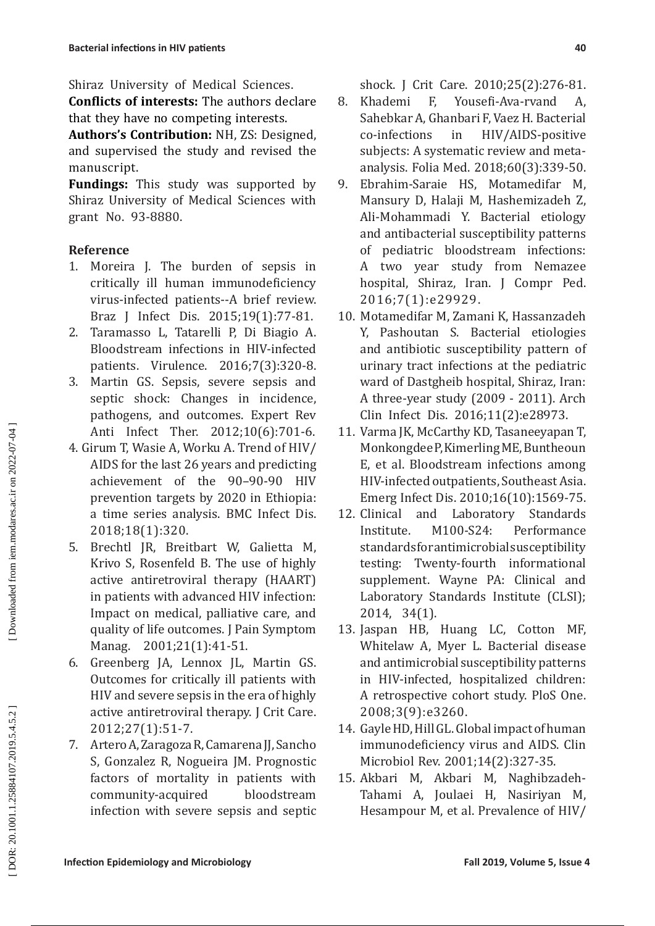Shiraz University of Medical Sciences.

**Conflicts of interests:** The authors declare that they have no competing interests.

**Authors's Contribution:** NH, ZS: Designed, and supervised the study and revised the manuscript.

**Fundings:** This study was supported by Shiraz University of Medical Sciences with grant No. 93-8880.

### **Reference**

- 1. Moreira J. The burden of sepsis in critically ill human immunodeficiency virus-infected patients--A brief review. Braz J Infect Dis. 2015;19(1):77-81.
- 2. Taramasso L, Tatarelli P, Di Biagio A. Bloodstream infections in HIV-infected patients. Virulence. 2016;7(3):320-8.
- 3. Martin GS. Sepsis, severe sepsis and septic shock: Changes in incidence, pathogens, and outcomes. Expert Rev Anti Infect Ther. 2012;10(6):701-6.
- 4. Girum T, Wasie A, Worku A. Trend of HIV/ AIDS for the last 26 years and predicting achievement of the 90–90-90 HIV prevention targets by 2020 in Ethiopia: a time series analysis. BMC Infect Dis. 2018;18(1):320.
- 5. Brechtl JR, Breitbart W, Galietta M, Krivo S, Rosenfeld B. The use of highly active antiretroviral therapy (HAART) in patients with advanced HIV infection: Impact on medical, palliative care, and quality of life outcomes. J Pain Symptom Manag. 2001;21(1):41-51.
- 6. Greenberg JA, Lennox JL, Martin GS. Outcomes for critically ill patients with HIV and severe sepsis in the era of highly active antiretroviral therapy. J Crit Care. 2012;27(1):51-7.
- 7. Artero A, Zaragoza R, Camarena JJ, Sancho S, Gonzalez R, Nogueira JM. Prognostic factors of mortality in patients with community-acquired bloodstream infection with severe sepsis and septic

shock. J Crit Care. 2010;25(2):276-81.

- 8. Khademi F, Yousefi-Ava-rvand A, Sahebkar A, Ghanbari F, Vaez H. Bacterial co-infections in HIV/AIDS-positive subjects: A systematic review and metaanalysis. Folia Med. 2018;60(3):339-50.
- 9. Ebrahim-Saraie HS, Motamedifar M, Mansury D, Halaji M, Hashemizadeh Z, Ali-Mohammadi Y. Bacterial etiology and antibacterial susceptibility patterns of pediatric bloodstream infections: A two year study from Nemazee hospital, Shiraz, Iran. J Compr Ped. 2016;7(1):e29929.
- 10. Motamedifar M, Zamani K, Hassanzadeh Y, Pashoutan S. Bacterial etiologies and antibiotic susceptibility pattern of urinary tract infections at the pediatric ward of Dastgheib hospital, Shiraz, Iran: A three-year study (2009 - 2011). Arch Clin Infect Dis. 2016;11(2):e28973.
- 11. Varma JK, McCarthy KD, Tasaneeyapan T, Monkongdee P, Kimerling ME, Buntheoun E, et al. Bloodstream infections among HIV-infected outpatients, Southeast Asia.
- Emerg Infect Dis. 2010;16(10):1569-75.<br>12. Clinical and Laboratory Standards and Laboratory Standards Institute. M100-S24: Performance standards for antimicrobial susceptibility testing: Twenty-fourth informational supplement. Wayne PA: Clinical and Laboratory Standards Institute (CLSI); 2014, 34(1).
- 13. Jaspan HB, Huang LC, Cotton MF, Whitelaw A, Myer L. Bacterial disease and antimicrobial susceptibility patterns in HIV-infected, hospitalized children: A retrospective cohort study. PloS One. 2008;3(9):e3260.
- 14. Gayle HD, Hill GL. Global impact of human immunodeficiency virus and AIDS. Clin Microbiol Rev. 2001;14(2):327-35.
- 15. Akbari M, Akbari M, Naghibzadeh-Tahami A, Joulaei H, Nasiriyan M, Hesampour M, et al. Prevalence of HIV/